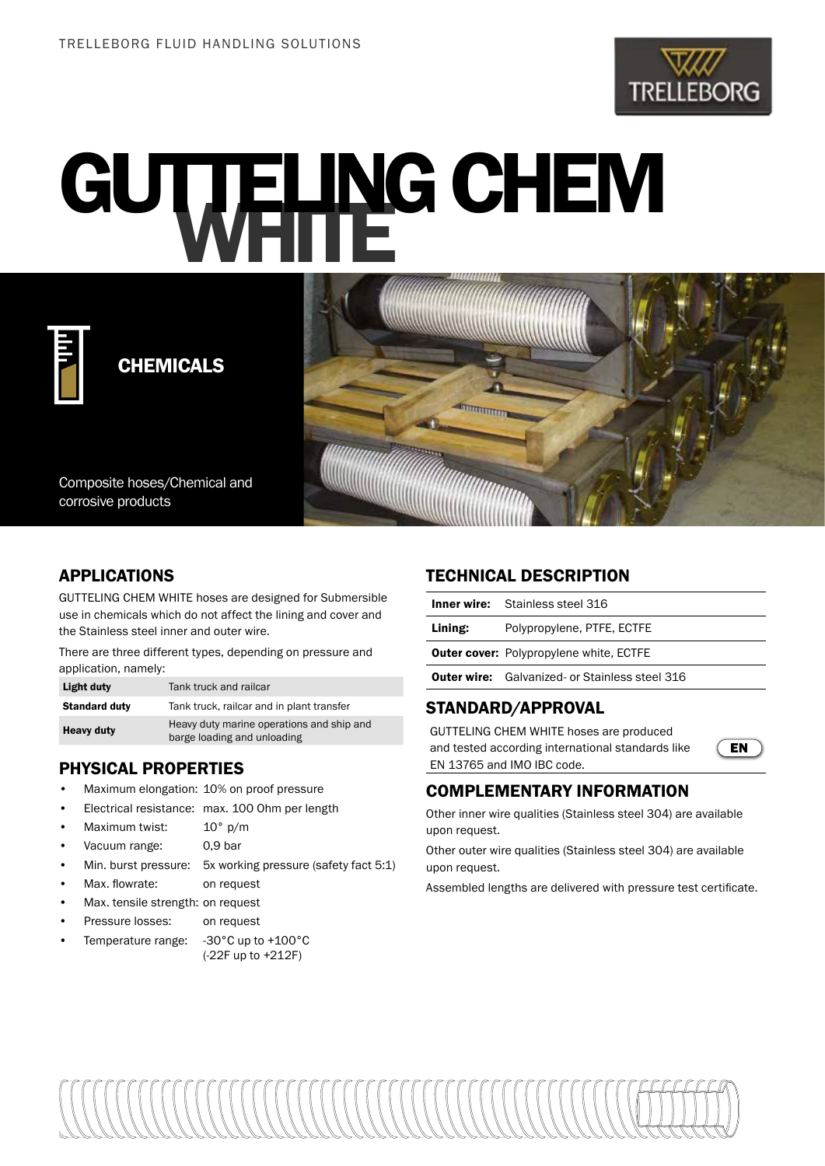

# GUTTELING CHEM



CHEMICALS

Composite hoses/Chemical and corrosive products

# APPLICATIONS

GUTTELING CHEM WHITE hoses are designed for Submersible use in chemicals which do not affect the lining and cover and the Stainless steel inner and outer wire.

There are three different types, depending on pressure and application, namely:

| Light duty           | Tank truck and railcar                                                   |
|----------------------|--------------------------------------------------------------------------|
| <b>Standard duty</b> | Tank truck, railcar and in plant transfer                                |
| <b>Heavy duty</b>    | Heavy duty marine operations and ship and<br>barge loading and unloading |

# PHYSICAL PROPERTIES

- Maximum elongation: 10% on proof pressure
- Electrical resistance: max. 100 Ohm per length
- Maximum twist: 10° p/m
- Vacuum range: 0,9 bar
- Min. burst pressure: 5x working pressure (safety fact 5:1)
- Max. flowrate: on request
- Max. tensile strength: on request
- Pressure losses: on request
- Temperature range: -30°C up to +100°C (-22F up to +212F)

### TECHNICAL DESCRIPTION

**Thomas Pro** 

|         | <b>Inner wire:</b> Stainless steel 316                |
|---------|-------------------------------------------------------|
| Lining: | Polypropylene, PTFE, ECTFE                            |
|         | <b>Outer cover:</b> Polypropylene white, ECTFE        |
|         | <b>Outer wire:</b> Galvanized- or Stainless steel 316 |
|         |                                                       |

# STANDARD/APPROVAL

GUTTELING CHEM WHITE hoses are produced and tested according international standards like EN 13765 and IMO IBC code.



#### COMPLEMENTARY INFORMATION

Other inner wire qualities (Stainless steel 304) are available upon request.

Other outer wire qualities (Stainless steel 304) are available upon request.

Assembled lengths are delivered with pressure test certificate.